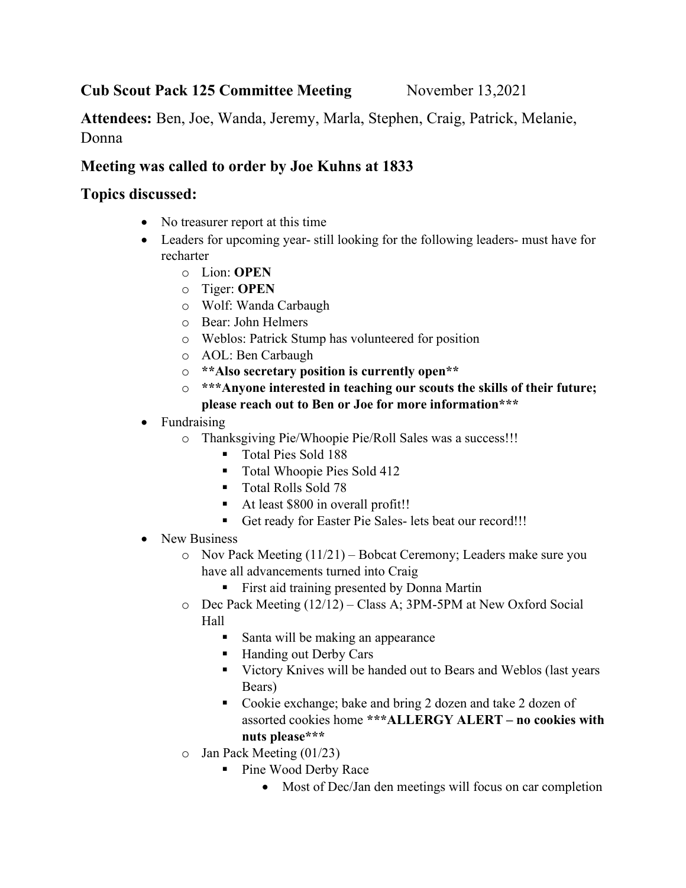## Cub Scout Pack 125 Committee Meeting November 13,2021

Attendees: Ben, Joe, Wanda, Jeremy, Marla, Stephen, Craig, Patrick, Melanie, Donna

## Meeting was called to order by Joe Kuhns at 1833

## Topics discussed:

- No treasurer report at this time
- Leaders for upcoming year- still looking for the following leaders- must have for recharter
	- o Lion: OPEN
	- o Tiger: OPEN
	- o Wolf: Wanda Carbaugh
	- o Bear: John Helmers
	- o Weblos: Patrick Stump has volunteered for position
	- o AOL: Ben Carbaugh
	- o \*\*Also secretary position is currently open\*\*
	- o \*\*\*Anyone interested in teaching our scouts the skills of their future; please reach out to Ben or Joe for more information\*\*\*
- Fundraising
	- o Thanksgiving Pie/Whoopie Pie/Roll Sales was a success!!!
		- Total Pies Sold 188
		- **Total Whoopie Pies Sold 412**
		- Total Rolls Sold 78
		- At least \$800 in overall profit!!
		- Get ready for Easter Pie Sales- lets beat our record!!!
- New Business
	- o Nov Pack Meeting (11/21) Bobcat Ceremony; Leaders make sure you have all advancements turned into Craig
		- First aid training presented by Donna Martin
	- o Dec Pack Meeting (12/12) Class A; 3PM-5PM at New Oxford Social Hall
		- Santa will be making an appearance
		- Handing out Derby Cars
		- Victory Knives will be handed out to Bears and Weblos (last years Bears)
		- Cookie exchange; bake and bring 2 dozen and take 2 dozen of assorted cookies home \*\*\*ALLERGY ALERT – no cookies with nuts please\*\*\*
	- o Jan Pack Meeting (01/23)
		- Pine Wood Derby Race
			- Most of Dec/Jan den meetings will focus on car completion